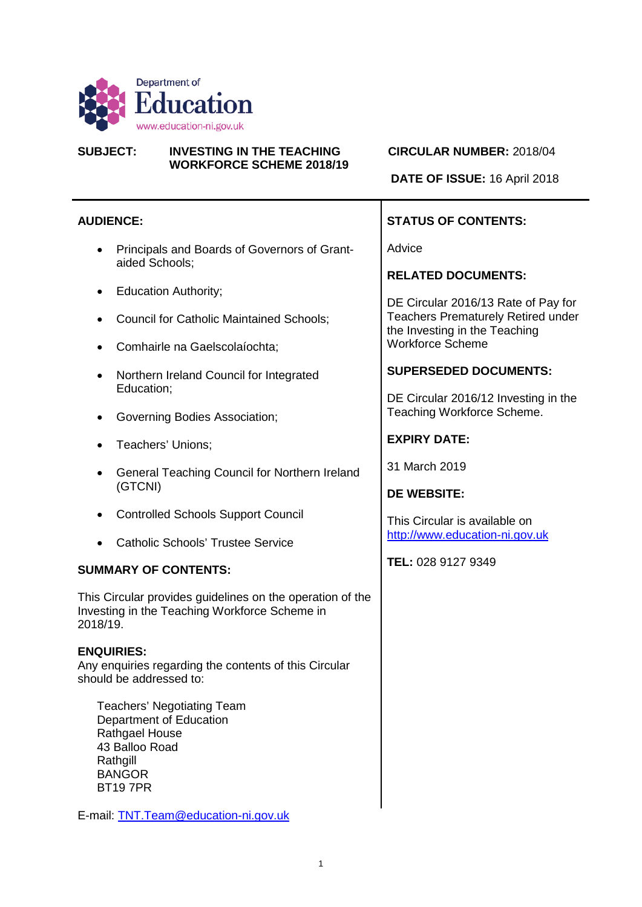

#### **SUBJECT: INVESTING IN THE TEACHING CIRCULAR NUMBER:** 2018/04 **WORKFORCE SCHEME 2018/19**

**DATE OF ISSUE:** 16 April 2018

#### **AUDIENCE:**

- Principals and Boards of Governors of Grantaided Schools;
- Education Authority;
- Council for Catholic Maintained Schools;
- Comhairle na Gaelscolaíochta;
- Northern Ireland Council for Integrated Education;
- Governing Bodies Association;
- Teachers' Unions;
- General Teaching Council for Northern Ireland (GTCNI)
- Controlled Schools Support Council
- Catholic Schools' Trustee Service

#### **SUMMARY OF CONTENTS:**

This Circular provides guidelines on the operation of the Investing in the Teaching Workforce Scheme in 2018/19.

#### **ENQUIRIES:**

Any enquiries regarding the contents of this Circular should be addressed to:

Teachers' Negotiating Team Department of Education Rathgael House 43 Balloo Road **Rathgill BANGOR** BT19 7PR

E-mail: [TNT.Team@education-ni.gov.uk](mailto:TNT.Team@education-ni.gov.uk)

# **STATUS OF CONTENTS:**

Advice

**RELATED DOCUMENTS:**

DE Circular 2016/13 Rate of Pay for Teachers Prematurely Retired under the Investing in the Teaching Workforce Scheme

#### **SUPERSEDED DOCUMENTS:**

DE Circular 2016/12 Investing in the Teaching Workforce Scheme.

#### **EXPIRY DATE:**

31 March 2019

#### **DE WEBSITE:**

This Circular is available on [http://www.education-ni.gov.uk](http://www.education-ni.gov.uk/)

**TEL:** 028 9127 9349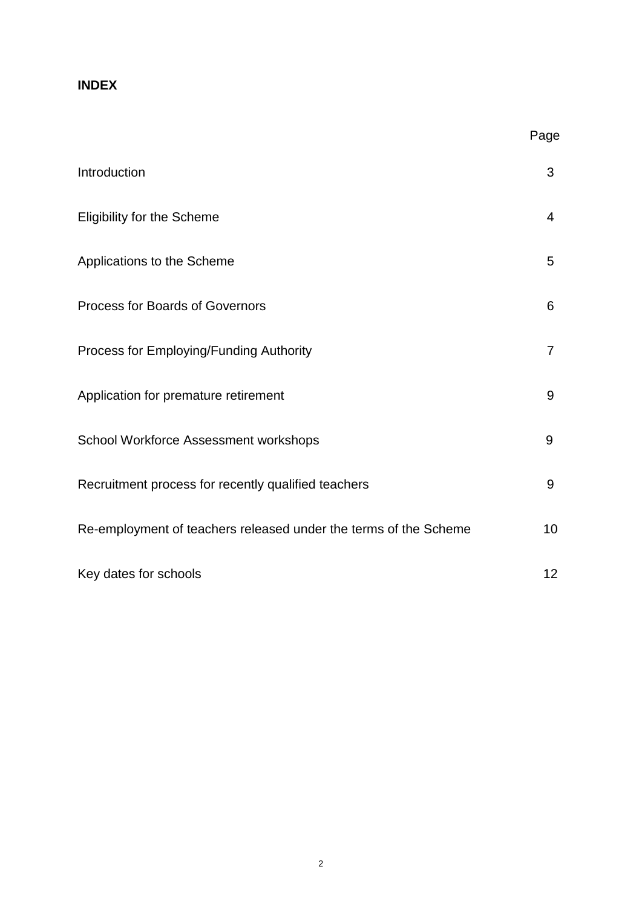# **INDEX**

|                                                                  | Page           |
|------------------------------------------------------------------|----------------|
| Introduction                                                     | 3              |
| <b>Eligibility for the Scheme</b>                                | $\overline{4}$ |
| Applications to the Scheme                                       | 5              |
| <b>Process for Boards of Governors</b>                           | 6              |
| Process for Employing/Funding Authority                          | $\overline{7}$ |
| Application for premature retirement                             | 9              |
| School Workforce Assessment workshops                            | 9              |
| Recruitment process for recently qualified teachers              | 9              |
| Re-employment of teachers released under the terms of the Scheme | 10             |
| Key dates for schools                                            | 12             |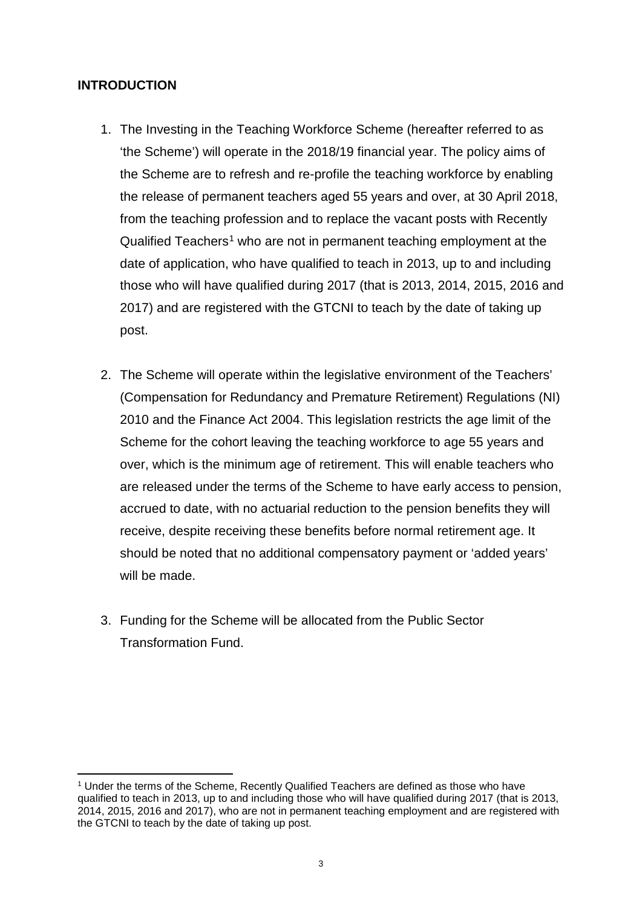# **INTRODUCTION**

 $\overline{\phantom{a}}$ 

- 1. The Investing in the Teaching Workforce Scheme (hereafter referred to as 'the Scheme') will operate in the 2018/19 financial year. The policy aims of the Scheme are to refresh and re-profile the teaching workforce by enabling the release of permanent teachers aged 55 years and over, at 30 April 2018, from the teaching profession and to replace the vacant posts with Recently Qualified Teachers<sup>[1](#page-2-0)</sup> who are not in permanent teaching employment at the date of application, who have qualified to teach in 2013, up to and including those who will have qualified during 2017 (that is 2013, 2014, 2015, 2016 and 2017) and are registered with the GTCNI to teach by the date of taking up post.
- 2. The Scheme will operate within the legislative environment of the Teachers' (Compensation for Redundancy and Premature Retirement) Regulations (NI) 2010 and the Finance Act 2004. This legislation restricts the age limit of the Scheme for the cohort leaving the teaching workforce to age 55 years and over, which is the minimum age of retirement. This will enable teachers who are released under the terms of the Scheme to have early access to pension, accrued to date, with no actuarial reduction to the pension benefits they will receive, despite receiving these benefits before normal retirement age. It should be noted that no additional compensatory payment or 'added years' will be made.
- 3. Funding for the Scheme will be allocated from the Public Sector Transformation Fund.

<span id="page-2-0"></span><sup>1</sup> Under the terms of the Scheme, Recently Qualified Teachers are defined as those who have qualified to teach in 2013, up to and including those who will have qualified during 2017 (that is 2013, 2014, 2015, 2016 and 2017), who are not in permanent teaching employment and are registered with the GTCNI to teach by the date of taking up post.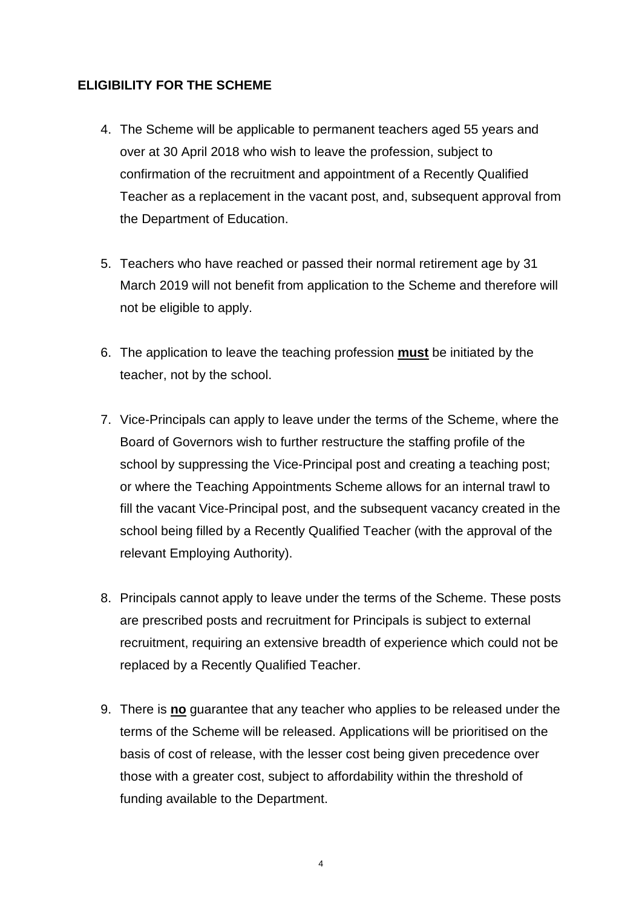# **ELIGIBILITY FOR THE SCHEME**

- 4. The Scheme will be applicable to permanent teachers aged 55 years and over at 30 April 2018 who wish to leave the profession, subject to confirmation of the recruitment and appointment of a Recently Qualified Teacher as a replacement in the vacant post, and, subsequent approval from the Department of Education.
- 5. Teachers who have reached or passed their normal retirement age by 31 March 2019 will not benefit from application to the Scheme and therefore will not be eligible to apply.
- 6. The application to leave the teaching profession **must** be initiated by the teacher, not by the school.
- 7. Vice-Principals can apply to leave under the terms of the Scheme, where the Board of Governors wish to further restructure the staffing profile of the school by suppressing the Vice-Principal post and creating a teaching post; or where the Teaching Appointments Scheme allows for an internal trawl to fill the vacant Vice-Principal post, and the subsequent vacancy created in the school being filled by a Recently Qualified Teacher (with the approval of the relevant Employing Authority).
- 8. Principals cannot apply to leave under the terms of the Scheme. These posts are prescribed posts and recruitment for Principals is subject to external recruitment, requiring an extensive breadth of experience which could not be replaced by a Recently Qualified Teacher.
- 9. There is **no** guarantee that any teacher who applies to be released under the terms of the Scheme will be released. Applications will be prioritised on the basis of cost of release, with the lesser cost being given precedence over those with a greater cost, subject to affordability within the threshold of funding available to the Department.

4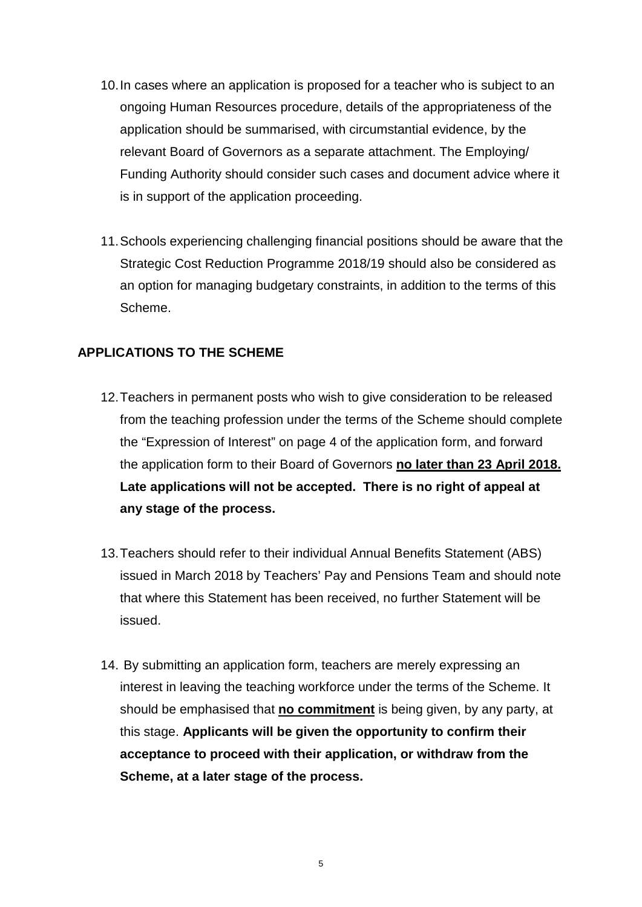- 10.In cases where an application is proposed for a teacher who is subject to an ongoing Human Resources procedure, details of the appropriateness of the application should be summarised, with circumstantial evidence, by the relevant Board of Governors as a separate attachment. The Employing/ Funding Authority should consider such cases and document advice where it is in support of the application proceeding.
- 11.Schools experiencing challenging financial positions should be aware that the Strategic Cost Reduction Programme 2018/19 should also be considered as an option for managing budgetary constraints, in addition to the terms of this Scheme.

# **APPLICATIONS TO THE SCHEME**

- 12.Teachers in permanent posts who wish to give consideration to be released from the teaching profession under the terms of the Scheme should complete the "Expression of Interest" on page 4 of the application form, and forward the application form to their Board of Governors **no later than 23 April 2018. Late applications will not be accepted. There is no right of appeal at any stage of the process.**
- 13.Teachers should refer to their individual Annual Benefits Statement (ABS) issued in March 2018 by Teachers' Pay and Pensions Team and should note that where this Statement has been received, no further Statement will be issued.
- 14. By submitting an application form, teachers are merely expressing an interest in leaving the teaching workforce under the terms of the Scheme. It should be emphasised that **no commitment** is being given, by any party, at this stage. **Applicants will be given the opportunity to confirm their acceptance to proceed with their application, or withdraw from the Scheme, at a later stage of the process.**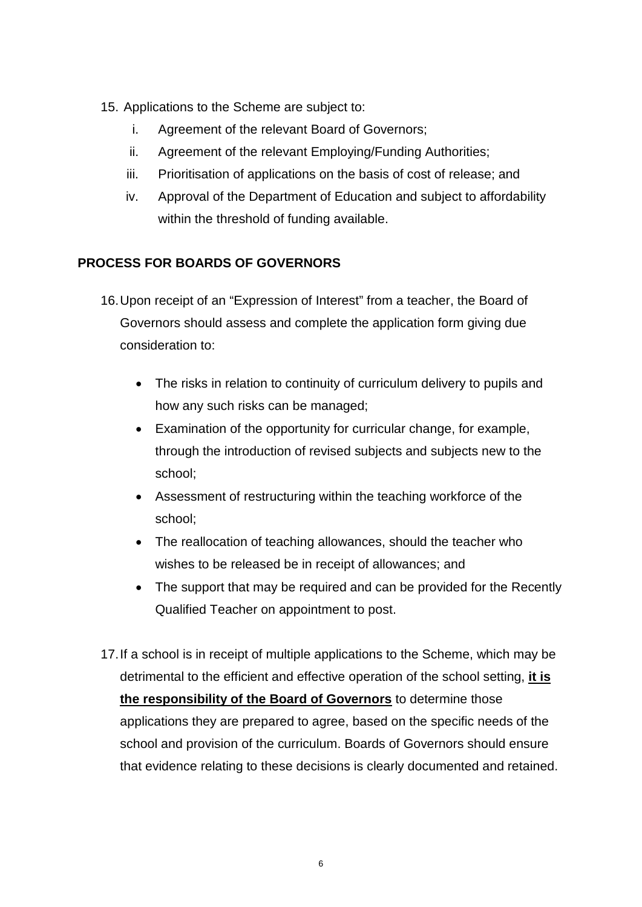- 15. Applications to the Scheme are subject to:
	- i. Agreement of the relevant Board of Governors;
	- ii. Agreement of the relevant Employing/Funding Authorities;
	- iii. Prioritisation of applications on the basis of cost of release; and
	- iv. Approval of the Department of Education and subject to affordability within the threshold of funding available.

# **PROCESS FOR BOARDS OF GOVERNORS**

- 16.Upon receipt of an "Expression of Interest" from a teacher, the Board of Governors should assess and complete the application form giving due consideration to:
	- The risks in relation to continuity of curriculum delivery to pupils and how any such risks can be managed;
	- Examination of the opportunity for curricular change, for example, through the introduction of revised subjects and subjects new to the school;
	- Assessment of restructuring within the teaching workforce of the school;
	- The reallocation of teaching allowances, should the teacher who wishes to be released be in receipt of allowances; and
	- The support that may be required and can be provided for the Recently Qualified Teacher on appointment to post.
- 17.If a school is in receipt of multiple applications to the Scheme, which may be detrimental to the efficient and effective operation of the school setting, **it is the responsibility of the Board of Governors** to determine those applications they are prepared to agree, based on the specific needs of the school and provision of the curriculum. Boards of Governors should ensure that evidence relating to these decisions is clearly documented and retained.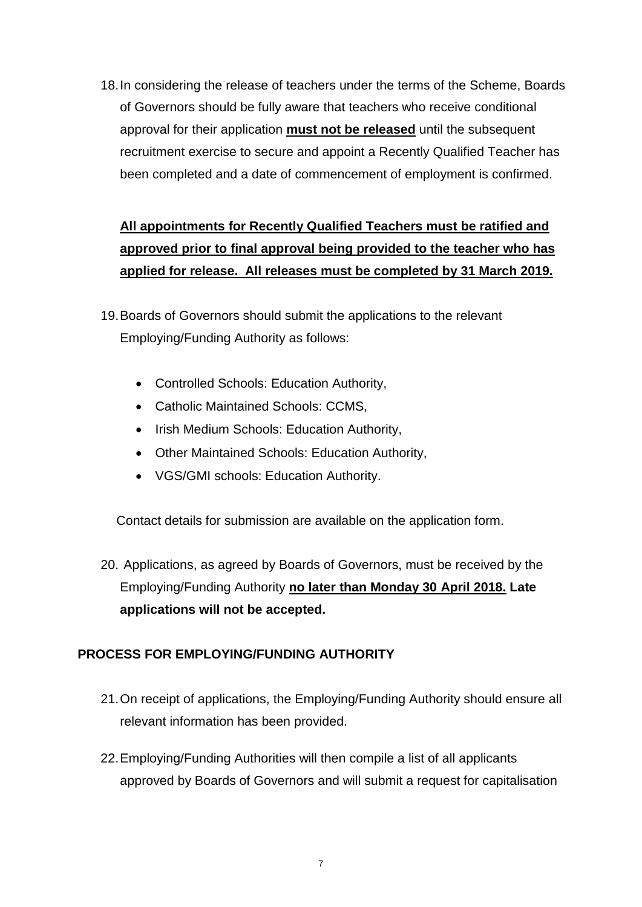18.In considering the release of teachers under the terms of the Scheme, Boards of Governors should be fully aware that teachers who receive conditional approval for their application **must not be released** until the subsequent recruitment exercise to secure and appoint a Recently Qualified Teacher has been completed and a date of commencement of employment is confirmed.

# **All appointments for Recently Qualified Teachers must be ratified and approved prior to final approval being provided to the teacher who has applied for release. All releases must be completed by 31 March 2019.**

- 19.Boards of Governors should submit the applications to the relevant Employing/Funding Authority as follows:
	- Controlled Schools: Education Authority,
	- Catholic Maintained Schools: CCMS,
	- Irish Medium Schools: Education Authority,
	- Other Maintained Schools: Education Authority,
	- VGS/GMI schools: Education Authority.

Contact details for submission are available on the application form.

20. Applications, as agreed by Boards of Governors, must be received by the Employing/Funding Authority **no later than Monday 30 April 2018. Late applications will not be accepted.**

# **PROCESS FOR EMPLOYING/FUNDING AUTHORITY**

- 21.On receipt of applications, the Employing/Funding Authority should ensure all relevant information has been provided.
- 22.Employing/Funding Authorities will then compile a list of all applicants approved by Boards of Governors and will submit a request for capitalisation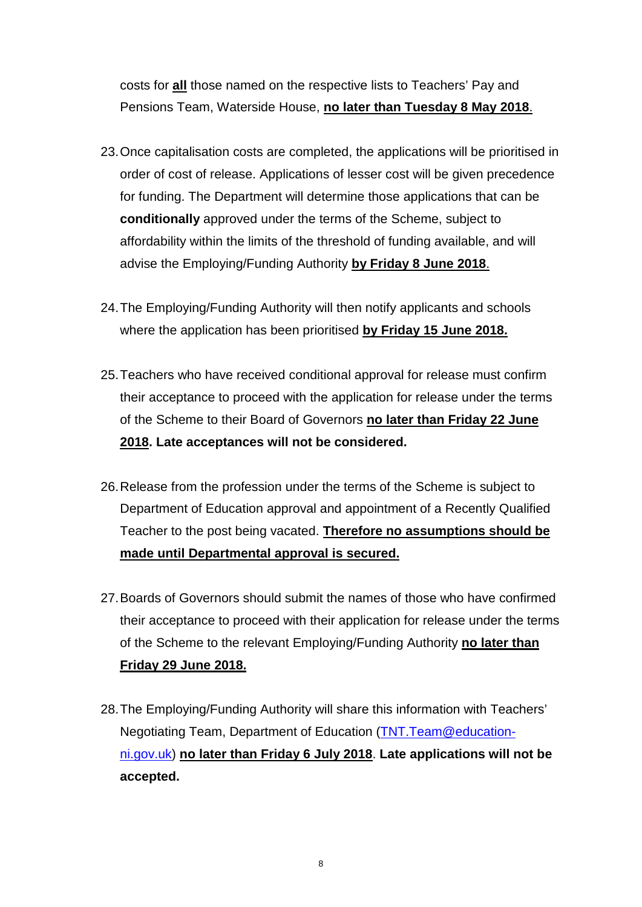costs for **all** those named on the respective lists to Teachers' Pay and Pensions Team, Waterside House, **no later than Tuesday 8 May 2018**.

- 23.Once capitalisation costs are completed, the applications will be prioritised in order of cost of release. Applications of lesser cost will be given precedence for funding. The Department will determine those applications that can be **conditionally** approved under the terms of the Scheme, subject to affordability within the limits of the threshold of funding available, and will advise the Employing/Funding Authority **by Friday 8 June 2018**.
- 24.The Employing/Funding Authority will then notify applicants and schools where the application has been prioritised **by Friday 15 June 2018.**
- 25.Teachers who have received conditional approval for release must confirm their acceptance to proceed with the application for release under the terms of the Scheme to their Board of Governors **no later than Friday 22 June 2018. Late acceptances will not be considered.**
- 26.Release from the profession under the terms of the Scheme is subject to Department of Education approval and appointment of a Recently Qualified Teacher to the post being vacated. **Therefore no assumptions should be made until Departmental approval is secured.**
- 27.Boards of Governors should submit the names of those who have confirmed their acceptance to proceed with their application for release under the terms of the Scheme to the relevant Employing/Funding Authority **no later than Friday 29 June 2018.**
- 28.The Employing/Funding Authority will share this information with Teachers' Negotiating Team, Department of Education [\(TNT.Team@education](mailto:TNT.Team@education-ni.gov.uk)[ni.gov.uk\)](mailto:TNT.Team@education-ni.gov.uk) **no later than Friday 6 July 2018**. **Late applications will not be accepted.**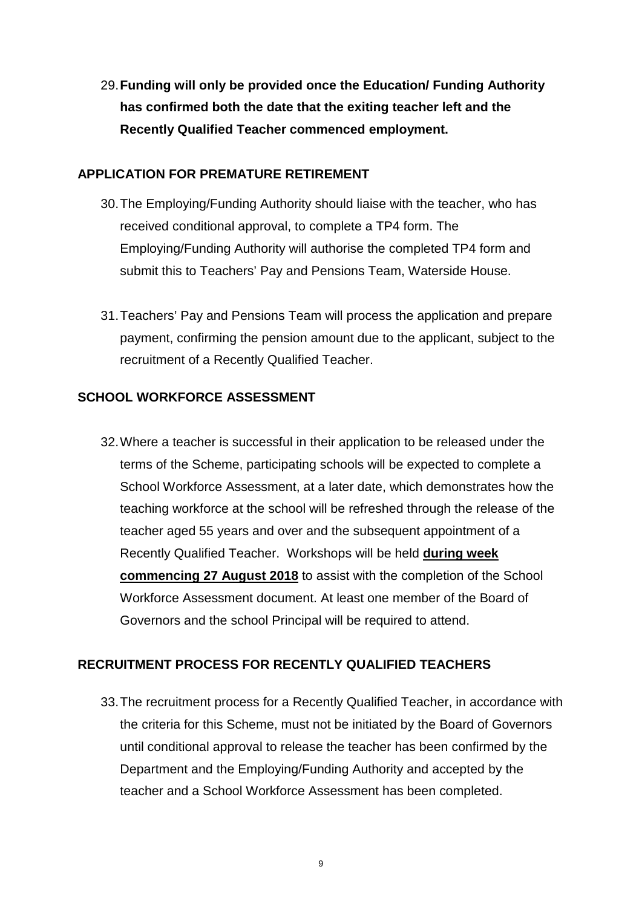29.**Funding will only be provided once the Education/ Funding Authority has confirmed both the date that the exiting teacher left and the Recently Qualified Teacher commenced employment.**

#### **APPLICATION FOR PREMATURE RETIREMENT**

- 30.The Employing/Funding Authority should liaise with the teacher, who has received conditional approval, to complete a TP4 form. The Employing/Funding Authority will authorise the completed TP4 form and submit this to Teachers' Pay and Pensions Team, Waterside House.
- 31.Teachers' Pay and Pensions Team will process the application and prepare payment, confirming the pension amount due to the applicant, subject to the recruitment of a Recently Qualified Teacher.

# **SCHOOL WORKFORCE ASSESSMENT**

32.Where a teacher is successful in their application to be released under the terms of the Scheme, participating schools will be expected to complete a School Workforce Assessment, at a later date, which demonstrates how the teaching workforce at the school will be refreshed through the release of the teacher aged 55 years and over and the subsequent appointment of a Recently Qualified Teacher. Workshops will be held **during week commencing 27 August 2018** to assist with the completion of the School Workforce Assessment document. At least one member of the Board of Governors and the school Principal will be required to attend.

# **RECRUITMENT PROCESS FOR RECENTLY QUALIFIED TEACHERS**

33.The recruitment process for a Recently Qualified Teacher, in accordance with the criteria for this Scheme, must not be initiated by the Board of Governors until conditional approval to release the teacher has been confirmed by the Department and the Employing/Funding Authority and accepted by the teacher and a School Workforce Assessment has been completed.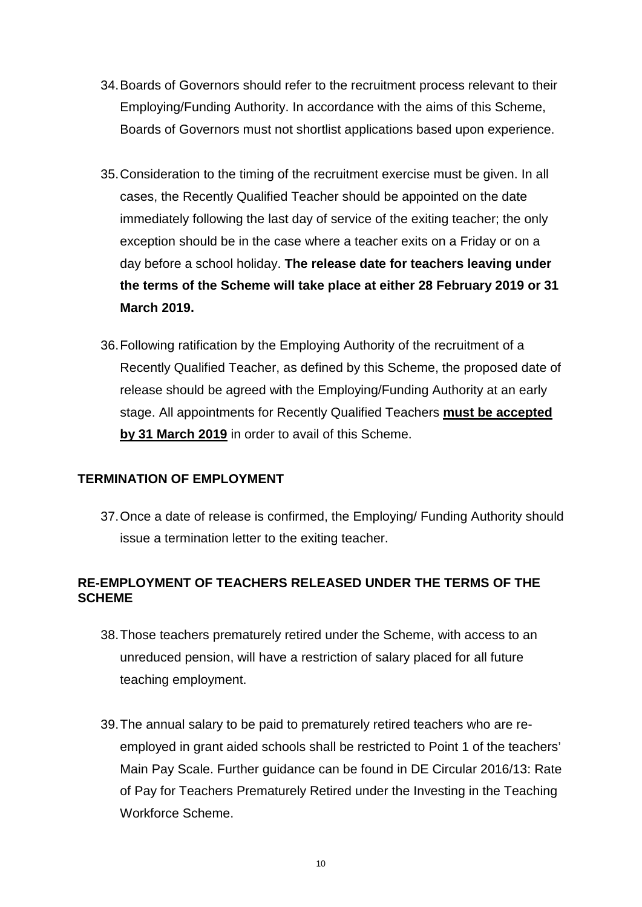- 34.Boards of Governors should refer to the recruitment process relevant to their Employing/Funding Authority. In accordance with the aims of this Scheme, Boards of Governors must not shortlist applications based upon experience.
- 35.Consideration to the timing of the recruitment exercise must be given. In all cases, the Recently Qualified Teacher should be appointed on the date immediately following the last day of service of the exiting teacher; the only exception should be in the case where a teacher exits on a Friday or on a day before a school holiday. **The release date for teachers leaving under the terms of the Scheme will take place at either 28 February 2019 or 31 March 2019.**
- 36.Following ratification by the Employing Authority of the recruitment of a Recently Qualified Teacher, as defined by this Scheme, the proposed date of release should be agreed with the Employing/Funding Authority at an early stage. All appointments for Recently Qualified Teachers **must be accepted by 31 March 2019** in order to avail of this Scheme.

# **TERMINATION OF EMPLOYMENT**

37.Once a date of release is confirmed, the Employing/ Funding Authority should issue a termination letter to the exiting teacher.

# **RE-EMPLOYMENT OF TEACHERS RELEASED UNDER THE TERMS OF THE SCHEME**

- 38.Those teachers prematurely retired under the Scheme, with access to an unreduced pension, will have a restriction of salary placed for all future teaching employment.
- 39.The annual salary to be paid to prematurely retired teachers who are reemployed in grant aided schools shall be restricted to Point 1 of the teachers' Main Pay Scale. Further guidance can be found in DE Circular 2016/13: Rate of Pay for Teachers Prematurely Retired under the Investing in the Teaching Workforce Scheme.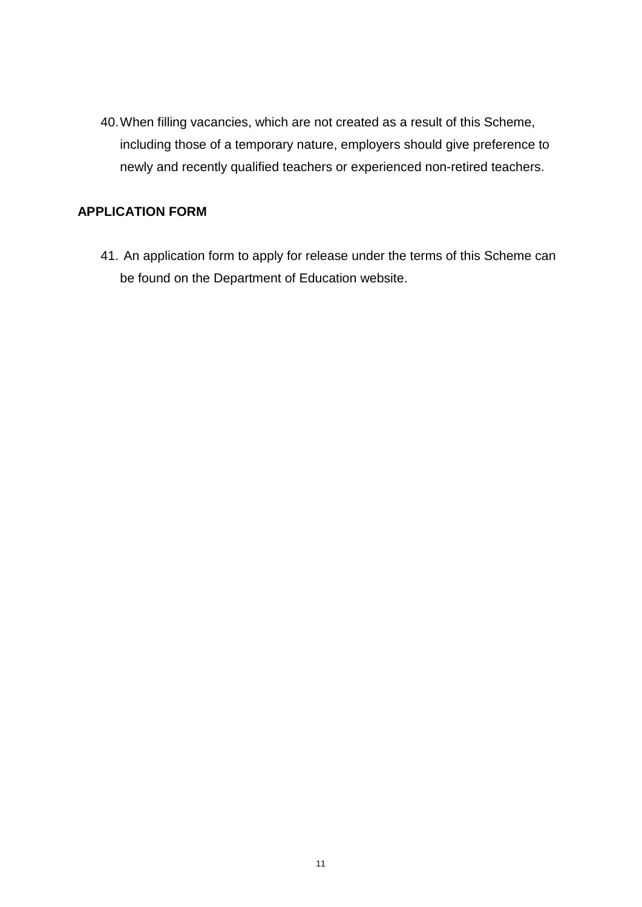40.When filling vacancies, which are not created as a result of this Scheme, including those of a temporary nature, employers should give preference to newly and recently qualified teachers or experienced non-retired teachers.

# **APPLICATION FORM**

41. An application form to apply for release under the terms of this Scheme can be found on the Department of Education website.